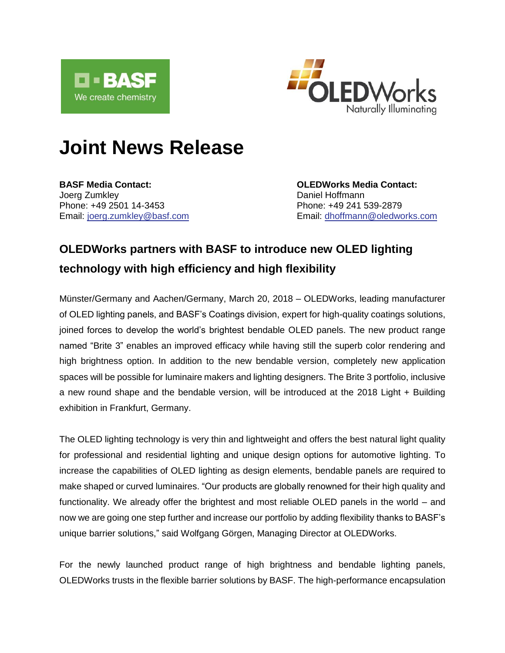

 $\overline{\phantom{a}}$ 



# **Joint News Release**

**BASF Media Contact: OLEDWorks Media Contact:** Joerg Zumkley **Daniel Hoffmann** Phone: +49 2501 14-3453 Phone: +49 241 539-2879

Email: [joerg.zumkley@basf.com](mailto:joerg.zumkley@basf.com) Email: [dhoffmann@oledworks.com](mailto:dhoffmann@oledworks.com)

## **OLEDWorks partners with BASF to introduce new OLED lighting technology with high efficiency and high flexibility**

Münster/Germany and Aachen/Germany, March 20, 2018 – OLEDWorks, leading manufacturer of OLED lighting panels, and BASF's Coatings division, expert for high-quality coatings solutions, joined forces to develop the world's brightest bendable OLED panels. The new product range named "Brite 3" enables an improved efficacy while having still the superb color rendering and high brightness option. In addition to the new bendable version, completely new application spaces will be possible for luminaire makers and lighting designers. The Brite 3 portfolio, inclusive a new round shape and the bendable version, will be introduced at the 2018 Light + Building exhibition in Frankfurt, Germany.

The OLED lighting technology is very thin and lightweight and offers the best natural light quality for professional and residential lighting and unique design options for automotive lighting. To increase the capabilities of OLED lighting as design elements, bendable panels are required to make shaped or curved luminaires. "Our products are globally renowned for their high quality and functionality. We already offer the brightest and most reliable OLED panels in the world – and now we are going one step further and increase our portfolio by adding flexibility thanks to BASF's unique barrier solutions," said Wolfgang Görgen, Managing Director at OLEDWorks.

For the newly launched product range of high brightness and bendable lighting panels, OLEDWorks trusts in the flexible barrier solutions by BASF. The high-performance encapsulation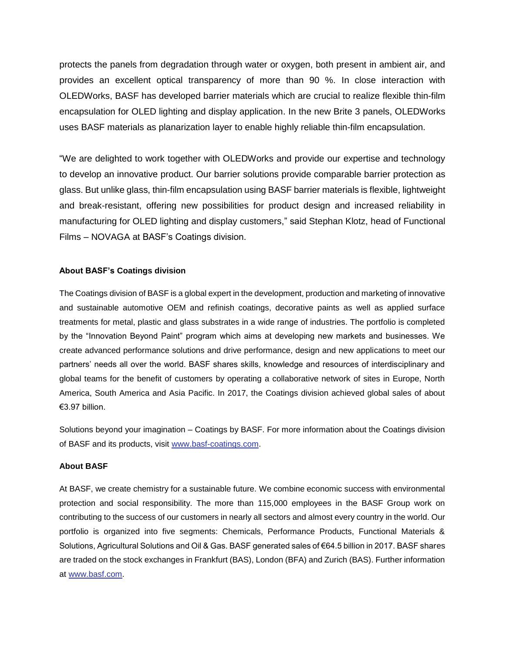protects the panels from degradation through water or oxygen, both present in ambient air, and provides an excellent optical transparency of more than 90 %. In close interaction with OLEDWorks, BASF has developed barrier materials which are crucial to realize flexible thin-film encapsulation for OLED lighting and display application. In the new Brite 3 panels, OLEDWorks uses BASF materials as planarization layer to enable highly reliable thin-film encapsulation.

"We are delighted to work together with OLEDWorks and provide our expertise and technology to develop an innovative product. Our barrier solutions provide comparable barrier protection as glass. But unlike glass, thin-film encapsulation using BASF barrier materials is flexible, lightweight and break-resistant, offering new possibilities for product design and increased reliability in manufacturing for OLED lighting and display customers," said Stephan Klotz, head of Functional Films – NOVAGA at BASF's Coatings division.

### **About BASF's Coatings division**

The Coatings division of BASF is a global expert in the development, production and marketing of innovative and sustainable automotive OEM and refinish coatings, decorative paints as well as applied surface treatments for metal, plastic and glass substrates in a wide range of industries. The portfolio is completed by the "Innovation Beyond Paint" program which aims at developing new markets and businesses. We create advanced performance solutions and drive performance, design and new applications to meet our partners' needs all over the world. BASF shares skills, knowledge and resources of interdisciplinary and global teams for the benefit of customers by operating a collaborative network of sites in Europe, North America, South America and Asia Pacific. In 2017, the Coatings division achieved global sales of about €3.97 billion.

Solutions beyond your imagination – Coatings by BASF. For more information about the Coatings division of BASF and its products, visit [www.basf-coatings.com.](http://www.basf-coatings.com/)

#### **About BASF**

At BASF, we create chemistry for a sustainable future. We combine economic success with environmental protection and social responsibility. The more than 115,000 employees in the BASF Group work on contributing to the success of our customers in nearly all sectors and almost every country in the world. Our portfolio is organized into five segments: Chemicals, Performance Products, Functional Materials & Solutions, Agricultural Solutions and Oil & Gas. BASF generated sales of €64.5 billion in 2017. BASF shares are traded on the stock exchanges in Frankfurt (BAS), London (BFA) and Zurich (BAS). Further information at [www.basf.com.](http://www.basf.com/)